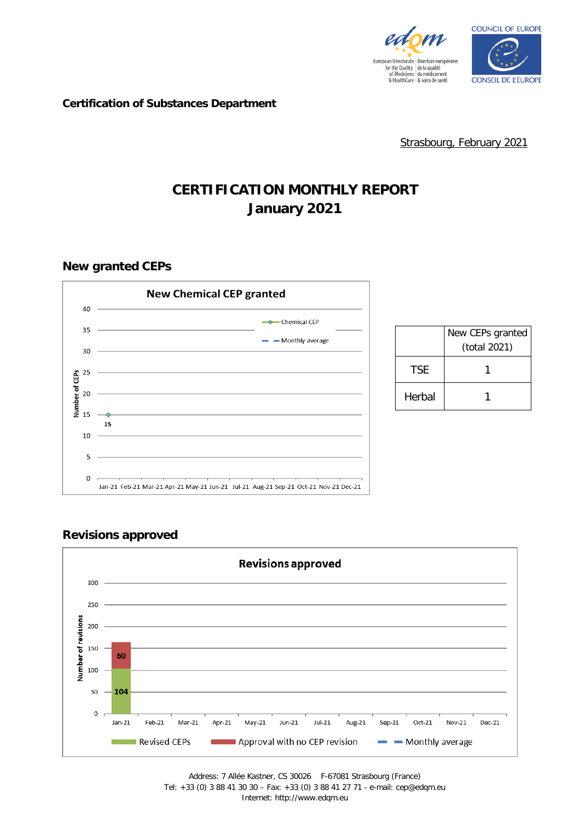



**Certification of Substances Department**

Strasbourg, February 2021

# **CERTIFICATION MONTHLY REPORT January 2021**

**New granted CEPs**





### **Revisions approved**

Address: 7 Allée Kastner, CS 30026 F-67081 Strasbourg (France) Tel: +33 (0) 3 88 41 30 30 – Fax: +33 (0) 3 88 41 27 71 - e-mail: cep@edqm.eu Internet: http://www.edqm.eu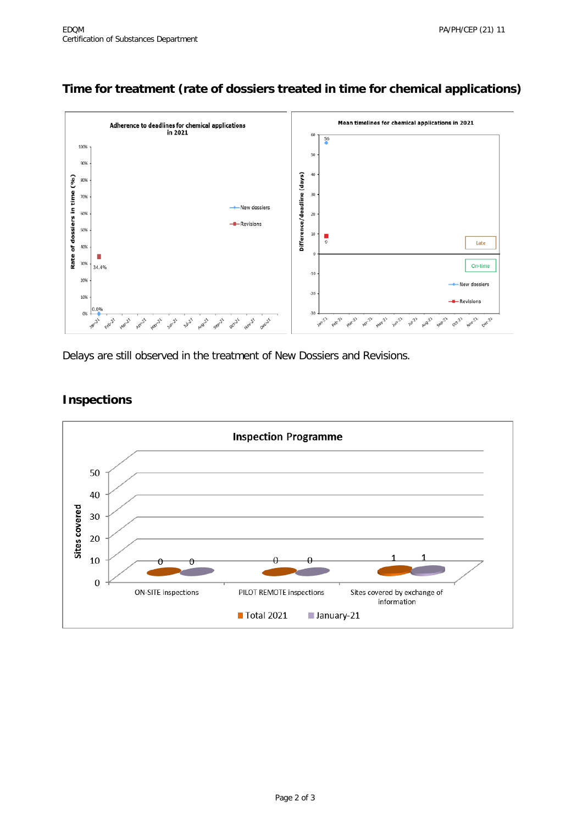## **Time for treatment (rate of dossiers treated in time for chemical applications)**



Delays are still observed in the treatment of New Dossiers and Revisions.



#### **Inspections**